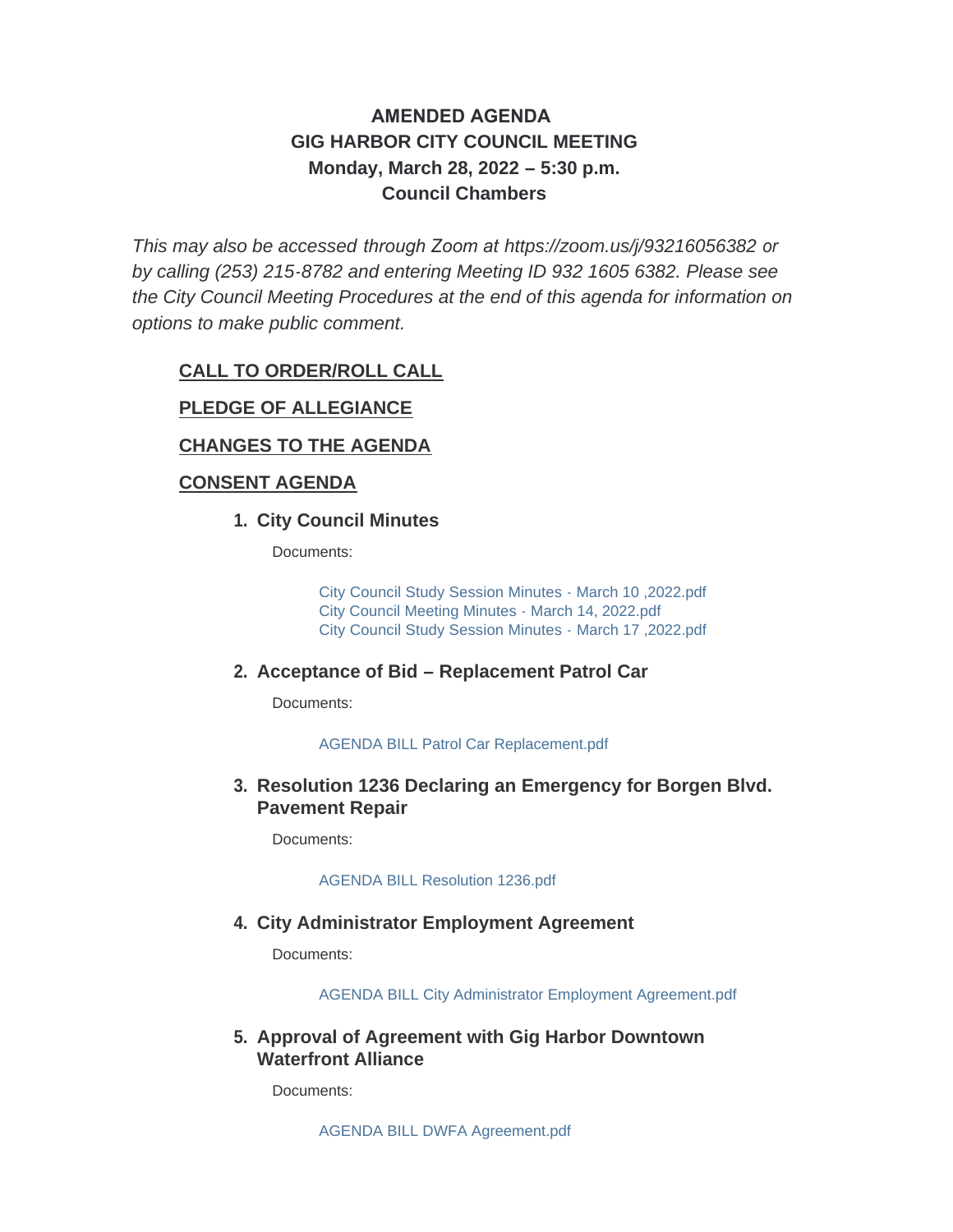# **AMENDED AGENDA GIG HARBOR CITY COUNCIL MEETING Monday, March 28, 2022 – 5:30 p.m. Council Chambers**

*This may also be accessed through Zoom at <https://zoom.us/j/93216056382> or by calling (253) 215-8782 and entering Meeting ID 932 1605 6382. Please see the City Council Meeting Procedures at the end of this agenda for information on options to make public comment.*

### **CALL TO ORDER/ROLL CALL**

### **PLEDGE OF ALLEGIANCE**

### **CHANGES TO THE AGENDA**

#### **CONSENT AGENDA**

#### **City Council Minutes 1.**

Documents:

[City Council Study Session Minutes - March 10 ,2022.pdf](http://www.cityofgigharbor.net/AgendaCenter/ViewFile/Item/865?fileID=1848) [City Council Meeting Minutes - March 14, 2022.pdf](http://www.cityofgigharbor.net/AgendaCenter/ViewFile/Item/865?fileID=1847) [City Council Study Session Minutes -](http://www.cityofgigharbor.net/AgendaCenter/ViewFile/Item/865?fileID=1831) March 17 ,2022.pdf

#### **Acceptance of Bid – Replacement Patrol Car 2.**

Documents:

[AGENDA BILL Patrol Car Replacement.pdf](http://www.cityofgigharbor.net/AgendaCenter/ViewFile/Item/837?fileID=1836)

#### **Resolution 1236 Declaring an Emergency for Borgen Blvd. 3. Pavement Repair**

Documents:

#### [AGENDA BILL Resolution 1236.pdf](http://www.cityofgigharbor.net/AgendaCenter/ViewFile/Item/868?fileID=1837)

#### **City Administrator Employment Agreement 4.**

Documents:

[AGENDA BILL City Administrator Employment Agreement.pdf](http://www.cityofgigharbor.net/AgendaCenter/ViewFile/Item/867?fileID=1835)

#### **Approval of Agreement with Gig Harbor Downtown 5. Waterfront Alliance**

Documents:

[AGENDA BILL DWFA Agreement.pdf](http://www.cityofgigharbor.net/AgendaCenter/ViewFile/Item/876?fileID=1842)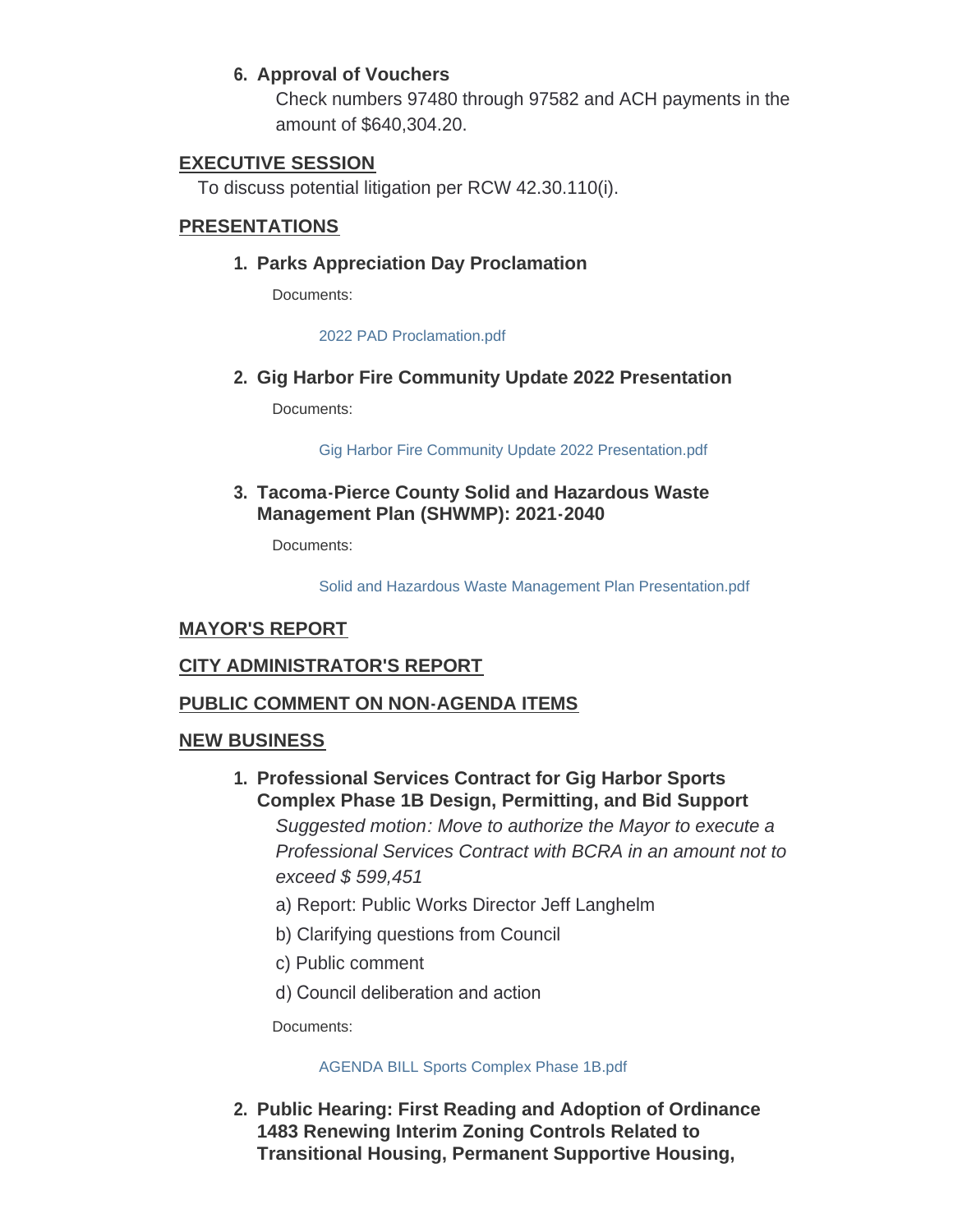# **Approval of Vouchers 6.**

Check numbers 97480 through 97582 and ACH payments in the amount of \$640,304.20.

# **EXECUTIVE SESSION**

To discuss potential litigation per RCW 42.30.110(i).

### **PRESENTATIONS**

### **Parks Appreciation Day Proclamation 1.**

Documents:

[2022 PAD Proclamation.pdf](http://www.cityofgigharbor.net/AgendaCenter/ViewFile/Item/870?fileID=1838)

**Gig Harbor Fire Community Update 2022 Presentation 2.**

Documents:

[Gig Harbor Fire Community Update 2022 Presentation.pdf](http://www.cityofgigharbor.net/AgendaCenter/ViewFile/Item/871?fileID=1852)

### **Tacoma-Pierce County Solid and Hazardous Waste 3. Management Plan (SHWMP): 2021-2040**

Documents:

[Solid and Hazardous Waste Management Plan Presentation.pdf](http://www.cityofgigharbor.net/AgendaCenter/ViewFile/Item/872?fileID=1856)

### **MAYOR'S REPORT**

### **CITY ADMINISTRATOR'S REPORT**

### **PUBLIC COMMENT ON NON-AGENDA ITEMS**

### **NEW BUSINESS**

- **Professional Services Contract for Gig Harbor Sports 1. Complex Phase 1B Design, Permitting, and Bid Support** *Suggested motion: Move to authorize the Mayor to execute a Professional Services Contract with BCRA in an amount not to exceed \$ 599,451*
	- a) Report: Public Works Director Jeff Langhelm
	- b) Clarifying questions from Council
	- c) Public comment
	- d) Council deliberation and action

Documents:

[AGENDA BILL Sports Complex Phase 1B.pdf](http://www.cityofgigharbor.net/AgendaCenter/ViewFile/Item/877?fileID=1845)

**Public Hearing: First Reading and Adoption of Ordinance 2. 1483 Renewing Interim Zoning Controls Related to Transitional Housing, Permanent Supportive Housing,**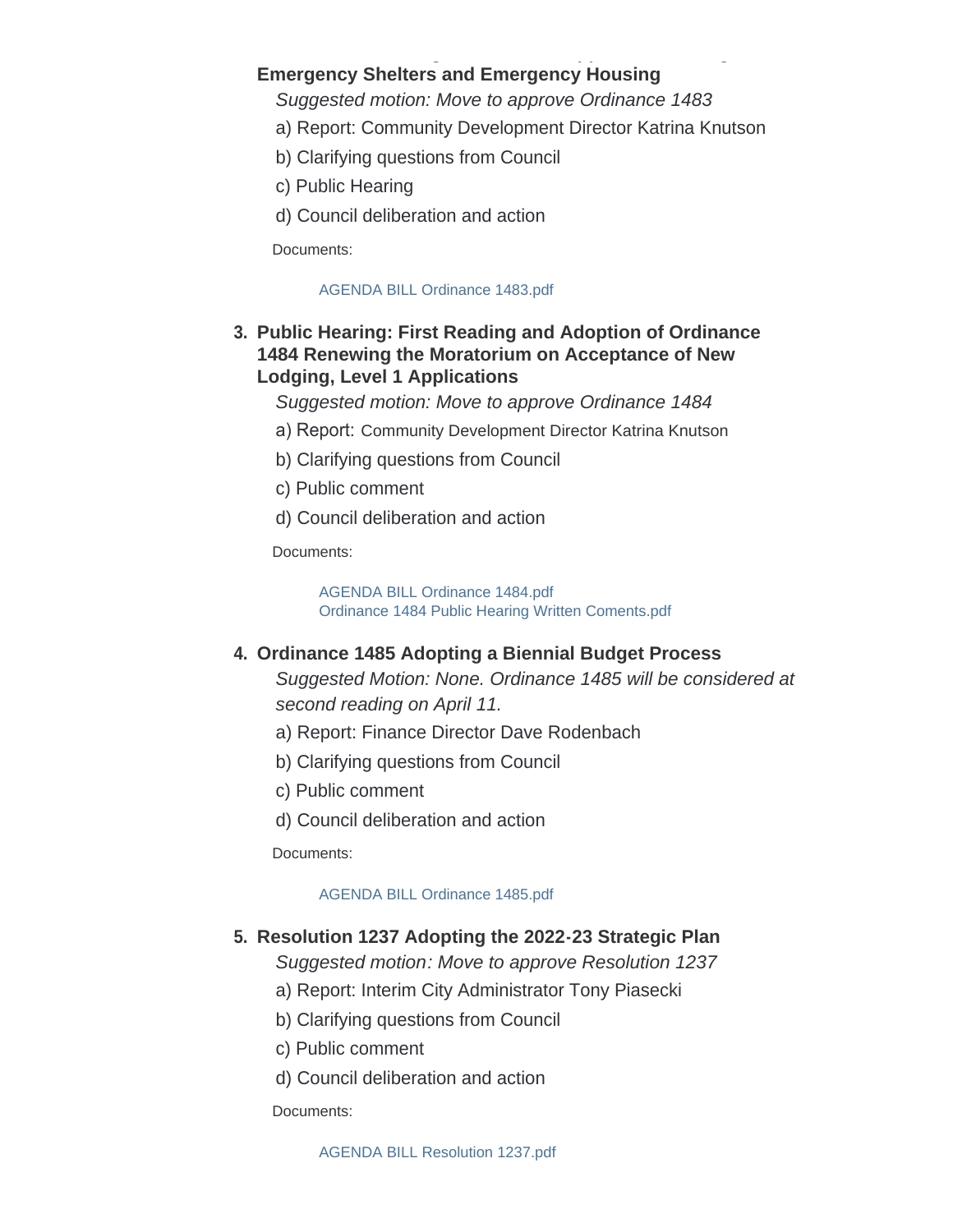#### **Transitional Housing, Permanent Supportive Housing, Emergency Shelters and Emergency Housing**

*Suggested motion: Move to approve Ordinance 1483*

- a) Report: Community Development Director Katrina Knutson
- b) Clarifying questions from Council
- c) Public Hearing
- d) Council deliberation and action

Documents:

#### [AGENDA BILL Ordinance 1483.pdf](http://www.cityofgigharbor.net/AgendaCenter/ViewFile/Item/873?fileID=1843)

# **Public Hearing: First Reading and Adoption of Ordinance 3. 1484 Renewing the Moratorium on Acceptance of New Lodging, Level 1 Applications**

*Suggested motion: Move to approve Ordinance 1484*

- a) Report: Community Development Director Katrina Knutson
- b) Clarifying questions from Council
- c) Public comment
- d) Council deliberation and action

Documents:

[AGENDA BILL Ordinance 1484.pdf](http://www.cityofgigharbor.net/AgendaCenter/ViewFile/Item/874?fileID=1844) [Ordinance 1484 Public Hearing Written Coments.pdf](http://www.cityofgigharbor.net/AgendaCenter/ViewFile/Item/874?fileID=1854)

# **Ordinance 1485 Adopting a Biennial Budget Process 4.**

*Suggested Motion: None. Ordinance 1485 will be considered at second reading on April 11.*

- a) Report: Finance Director Dave Rodenbach
- b) Clarifying questions from Council
- c) Public comment
- d) Council deliberation and action

Documents:

### [AGENDA BILL Ordinance 1485.pdf](http://www.cityofgigharbor.net/AgendaCenter/ViewFile/Item/875?fileID=1841)

# **Resolution 1237 Adopting the 2022-23 Strategic Plan 5.**

*Suggested motion: Move to approve Resolution 1237*

- a) Report: Interim City Administrator Tony Piasecki
- b) Clarifying questions from Council
- c) Public comment
- d) Council deliberation and action

Documents: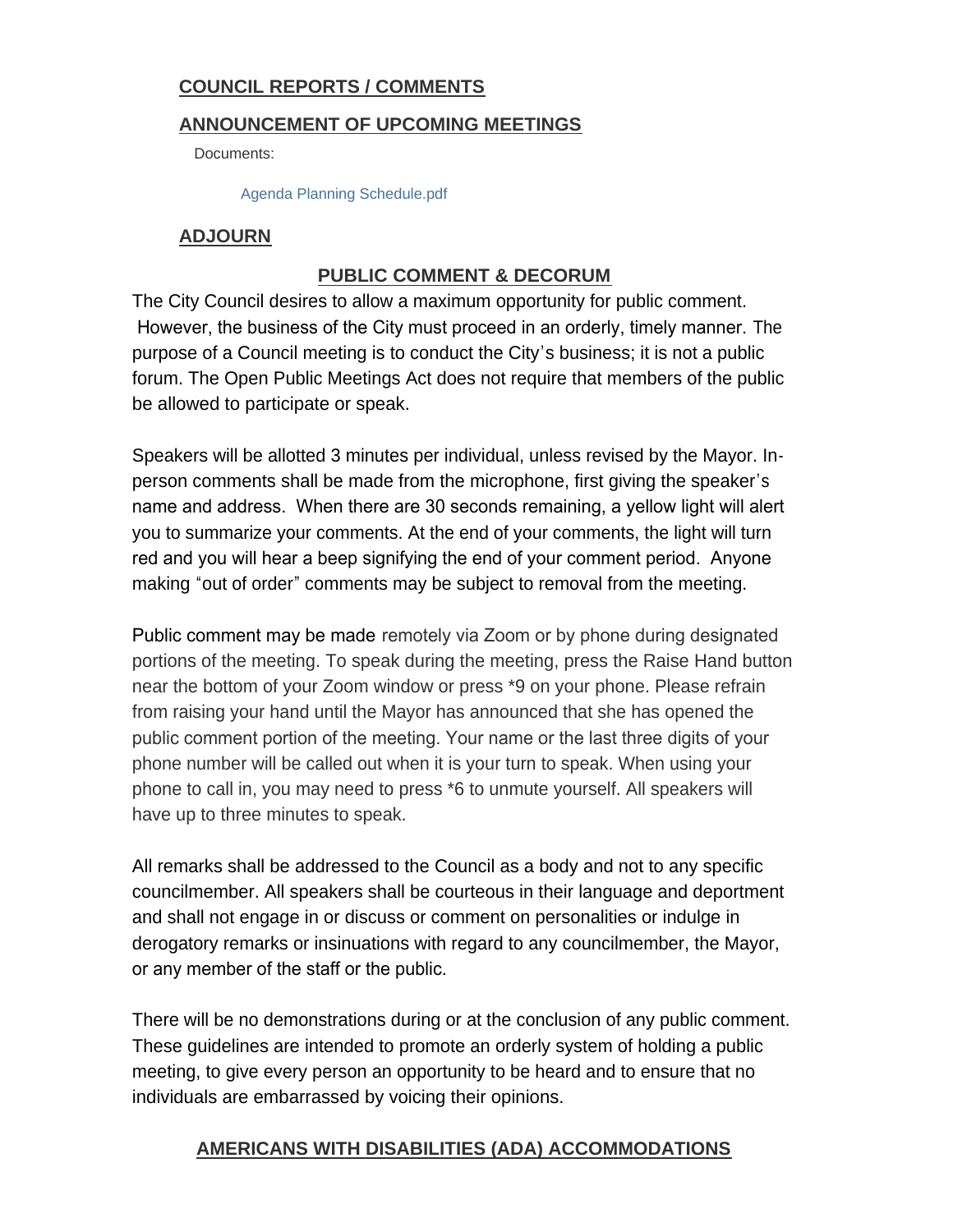# **COUNCIL REPORTS / COMMENTS**

### **ANNOUNCEMENT OF UPCOMING MEETINGS**

Documents:

[Agenda Planning Schedule.pdf](http://www.cityofgigharbor.net/AgendaCenter/ViewFile/Item/863?fileID=1846)

# **ADJOURN**

# **PUBLIC COMMENT & DECORUM**

The City Council desires to allow a maximum opportunity for public comment. However, the business of the City must proceed in an orderly, timely manner. The purpose of a Council meeting is to conduct the City's business; it is not a public forum. The Open Public Meetings Act does not require that members of the public be allowed to participate or speak.

Speakers will be allotted 3 minutes per individual, unless revised by the Mayor. Inperson comments shall be made from the microphone, first giving the speaker's name and address. When there are 30 seconds remaining, a yellow light will alert you to summarize your comments. At the end of your comments, the light will turn red and you will hear a beep signifying the end of your comment period. Anyone making "out of order" comments may be subject to removal from the meeting.

Public comment may be made remotely via Zoom or by phone during designated portions of the meeting. To speak during the meeting, press the Raise Hand button near the bottom of your Zoom window or press \*9 on your phone. Please refrain from raising your hand until the Mayor has announced that she has opened the public comment portion of the meeting. Your name or the last three digits of your phone number will be called out when it is your turn to speak. When using your phone to call in, you may need to press \*6 to unmute yourself. All speakers will have up to three minutes to speak.

All remarks shall be addressed to the Council as a body and not to any specific councilmember. All speakers shall be courteous in their language and deportment and shall not engage in or discuss or comment on personalities or indulge in derogatory remarks or insinuations with regard to any councilmember, the Mayor, or any member of the staff or the public.

There will be no demonstrations during or at the conclusion of any public comment. These guidelines are intended to promote an orderly system of holding a public meeting, to give every person an opportunity to be heard and to ensure that no individuals are embarrassed by voicing their opinions.

# **AMERICANS WITH DISABILITIES (ADA) ACCOMMODATIONS**